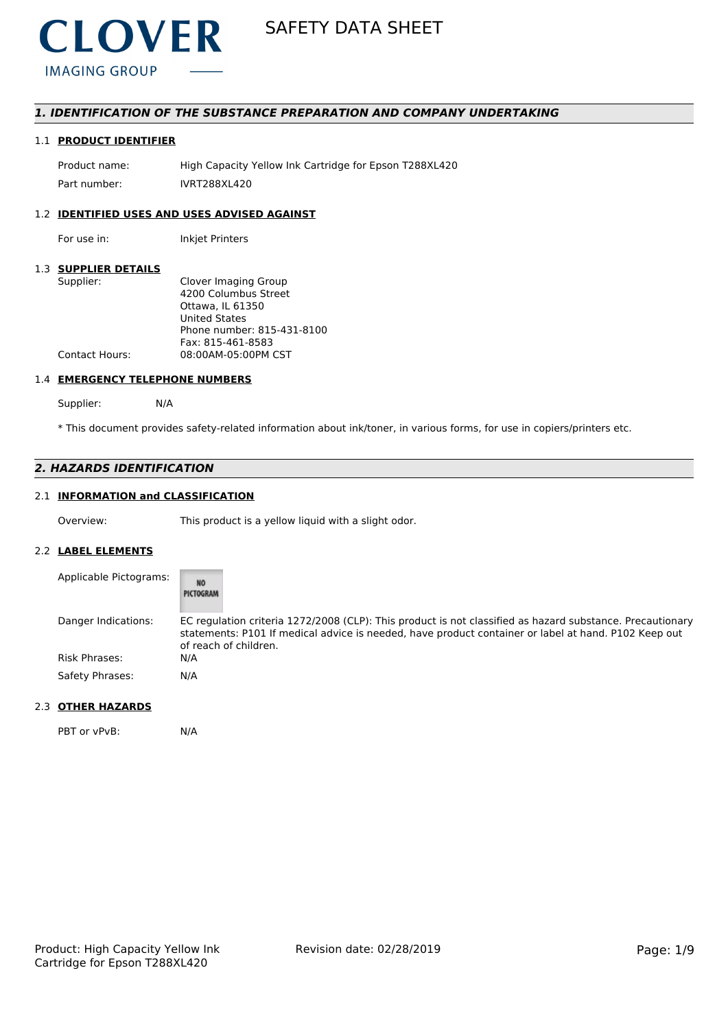

# *1. IDENTIFICATION OF THE SUBSTANCE PREPARATION AND COMPANY UNDERTAKING*

# 1.1 **PRODUCT IDENTIFIER**

Product name: High Capacity Yellow Ink Cartridge for Epson T288XL420 Part number: IVRT288XL420

# 1.2 **IDENTIFIED USES AND USES ADVISED AGAINST**

For use in: Inkjet Printers

#### 1.3 **SUPPLIER DETAILS**

| Supplier:             | Clover Imaging Group       |
|-----------------------|----------------------------|
|                       | 4200 Columbus Street       |
|                       | Ottawa. IL 61350           |
|                       | United States              |
|                       | Phone number: 815-431-8100 |
|                       | Fax: 815-461-8583          |
| <b>Contact Hours:</b> | 08:00AM-05:00PM CST        |
|                       |                            |

#### 1.4 **EMERGENCY TELEPHONE NUMBERS**

Supplier: N/A

\* This document provides safety-related information about ink/toner, in various forms, for use in copiers/printers etc.

# *2. HAZARDS IDENTIFICATION*

# 2.1 **INFORMATION and CLASSIFICATION**

Overview: This product is a yellow liquid with a slight odor.

#### 2.2 **LABEL ELEMENTS**

| Applicable Pictograms: | NO<br>PICTOGRAM                                                                                                                                                                                                                            |
|------------------------|--------------------------------------------------------------------------------------------------------------------------------------------------------------------------------------------------------------------------------------------|
| Danger Indications:    | EC regulation criteria 1272/2008 (CLP): This product is not classified as hazard substance. Precautionary<br>statements: P101 If medical advice is needed, have product container or label at hand. P102 Keep out<br>of reach of children. |
| Risk Phrases:          | N/A                                                                                                                                                                                                                                        |
| Safety Phrases:        | N/A                                                                                                                                                                                                                                        |

#### 2.3 **OTHER HAZARDS**

PBT or vPvB: N/A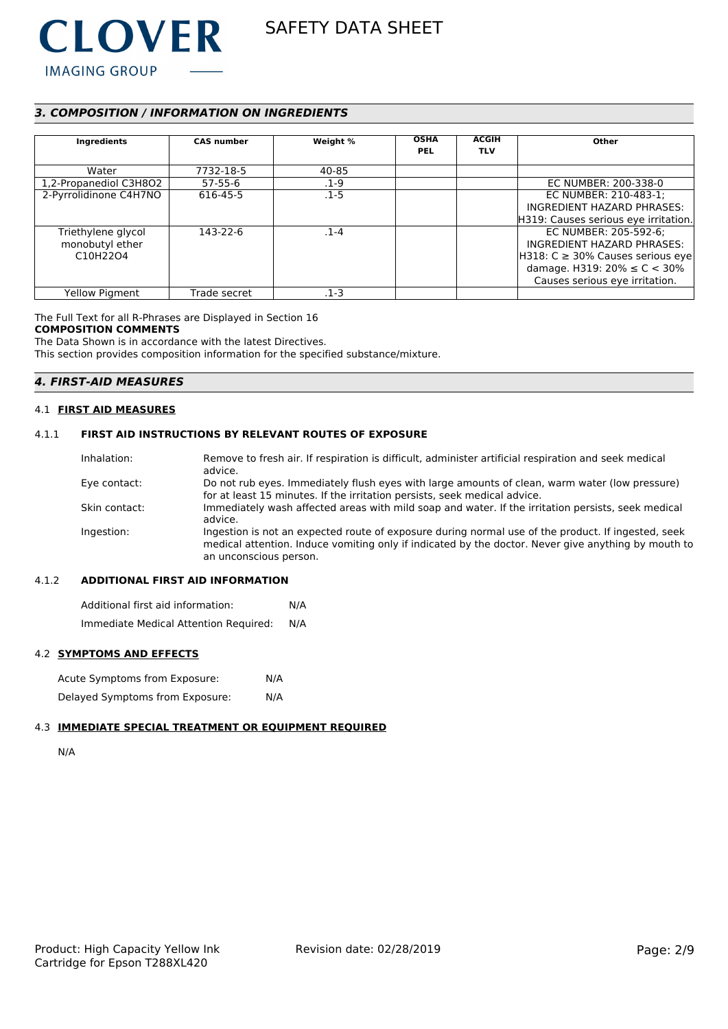

# *3. COMPOSITION / INFORMATION ON INGREDIENTS*

| Ingredients            | <b>CAS number</b> | Weight % | <b>OSHA</b><br><b>PEL</b> | <b>ACGIH</b><br><b>TLV</b> | Other                                  |
|------------------------|-------------------|----------|---------------------------|----------------------------|----------------------------------------|
| Water                  | 7732-18-5         | 40-85    |                           |                            |                                        |
| 1,2-Propanediol C3H8O2 | $57 - 55 - 6$     | $.1 - 9$ |                           |                            | EC NUMBER: 200-338-0                   |
| 2-Pyrrolidinone C4H7NO | 616-45-5          | $.1 - 5$ |                           |                            | EC NUMBER: 210-483-1:                  |
|                        |                   |          |                           |                            | INGREDIENT HAZARD PHRASES:             |
|                        |                   |          |                           |                            | H319: Causes serious eye irritation.   |
| Triethylene glycol     | 143-22-6          | $.1 - 4$ |                           |                            | EC NUMBER: 205-592-6;                  |
| monobutyl ether        |                   |          |                           |                            | INGREDIENT HAZARD PHRASES:             |
| C10H22O4               |                   |          |                           |                            | $H318: C \geq 30\%$ Causes serious eye |
|                        |                   |          |                           |                            | damage. H319: $20\% \le C < 30\%$      |
|                        |                   |          |                           |                            | Causes serious eye irritation.         |
| <b>Yellow Pigment</b>  | Trade secret      | .1-3     |                           |                            |                                        |

The Full Text for all R-Phrases are Displayed in Section 16

#### **COMPOSITION COMMENTS**

The Data Shown is in accordance with the latest Directives.

This section provides composition information for the specified substance/mixture.

# *4. FIRST-AID MEASURES*

#### 4.1 **FIRST AID MEASURES**

# 4.1.1 **FIRST AID INSTRUCTIONS BY RELEVANT ROUTES OF EXPOSURE**

| Inhalation:   | Remove to fresh air. If respiration is difficult, administer artificial respiration and seek medical<br>advice.                                                                                                                     |
|---------------|-------------------------------------------------------------------------------------------------------------------------------------------------------------------------------------------------------------------------------------|
| Eye contact:  | Do not rub eyes. Immediately flush eyes with large amounts of clean, warm water (low pressure)                                                                                                                                      |
|               | for at least 15 minutes. If the irritation persists, seek medical advice.                                                                                                                                                           |
| Skin contact: | Immediately wash affected areas with mild soap and water. If the irritation persists, seek medical<br>advice.                                                                                                                       |
| Ingestion:    | Ingestion is not an expected route of exposure during normal use of the product. If ingested, seek<br>medical attention. Induce vomiting only if indicated by the doctor. Never give anything by mouth to<br>an unconscious person. |

# 4.1.2 **ADDITIONAL FIRST AID INFORMATION**

Additional first aid information: N/A Immediate Medical Attention Required: N/A

#### 4.2 **SYMPTOMS AND EFFECTS**

| Acute Symptoms from Exposure:   | N/A |
|---------------------------------|-----|
| Delayed Symptoms from Exposure: | N/A |

# 4.3 **IMMEDIATE SPECIAL TREATMENT OR EQUIPMENT REQUIRED**

```
N/A
```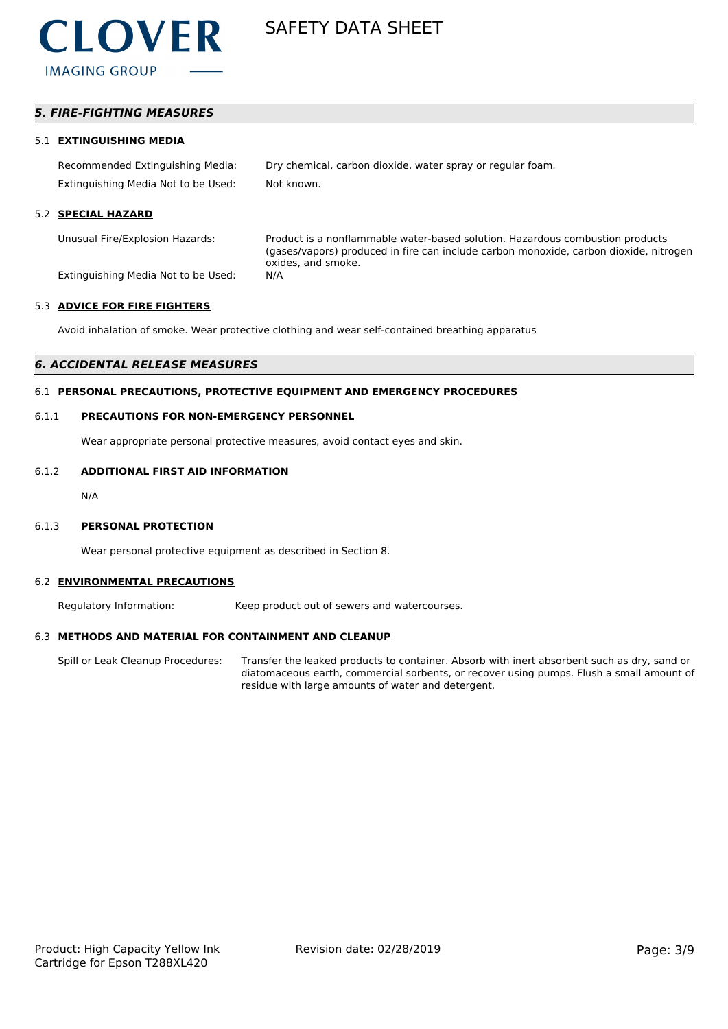

# *5. FIRE-FIGHTING MEASURES*

#### 5.1 **EXTINGUISHING MEDIA**

Recommended Extinguishing Media: Dry chemical, carbon dioxide, water spray or regular foam. Extinguishing Media Not to be Used: Not known.

#### 5.2 **SPECIAL HAZARD**

Unusual Fire/Explosion Hazards: Product is a nonflammable water-based solution. Hazardous combustion products (gases/vapors) produced in fire can include carbon monoxide, carbon dioxide, nitrogen oxides, and smoke.

Extinguishing Media Not to be Used: N/A

#### 5.3 **ADVICE FOR FIRE FIGHTERS**

Avoid inhalation of smoke. Wear protective clothing and wear self-contained breathing apparatus

#### *6. ACCIDENTAL RELEASE MEASURES*

### 6.1 **PERSONAL PRECAUTIONS, PROTECTIVE EQUIPMENT AND EMERGENCY PROCEDURES**

#### 6.1.1 **PRECAUTIONS FOR NON-EMERGENCY PERSONNEL**

Wear appropriate personal protective measures, avoid contact eyes and skin.

# 6.1.2 **ADDITIONAL FIRST AID INFORMATION**

N/A

#### 6.1.3 **PERSONAL PROTECTION**

Wear personal protective equipment as described in Section 8.

#### 6.2 **ENVIRONMENTAL PRECAUTIONS**

Regulatory Information: Keep product out of sewers and watercourses.

#### 6.3 **METHODS AND MATERIAL FOR CONTAINMENT AND CLEANUP**

Spill or Leak Cleanup Procedures: Transfer the leaked products to container. Absorb with inert absorbent such as dry, sand or diatomaceous earth, commercial sorbents, or recover using pumps. Flush a small amount of residue with large amounts of water and detergent.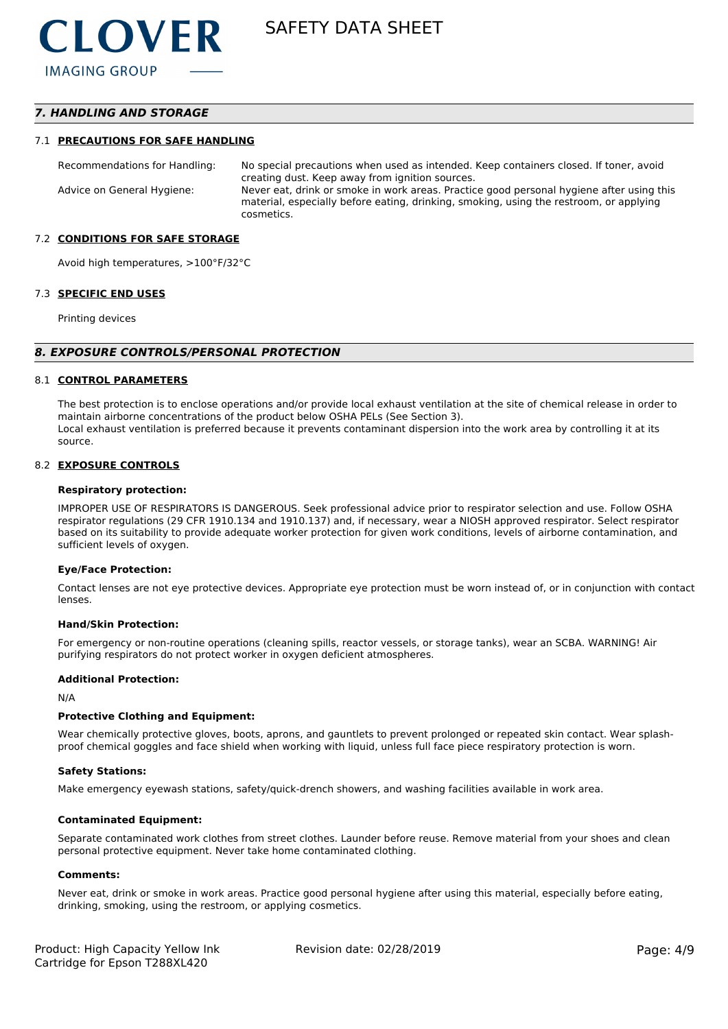# *7. HANDLING AND STORAGE*

#### 7.1 **PRECAUTIONS FOR SAFE HANDLING**

Recommendations for Handling: No special precautions when used as intended. Keep containers closed. If toner, avoid creating dust. Keep away from ignition sources. Advice on General Hygiene: Never eat, drink or smoke in work areas. Practice good personal hygiene after using this material, especially before eating, drinking, smoking, using the restroom, or applying cosmetics.

#### 7.2 **CONDITIONS FOR SAFE STORAGE**

Avoid high temperatures, >100°F/32°C

#### 7.3 **SPECIFIC END USES**

Printing devices

#### *8. EXPOSURE CONTROLS/PERSONAL PROTECTION*

#### 8.1 **CONTROL PARAMETERS**

The best protection is to enclose operations and/or provide local exhaust ventilation at the site of chemical release in order to maintain airborne concentrations of the product below OSHA PELs (See Section 3). Local exhaust ventilation is preferred because it prevents contaminant dispersion into the work area by controlling it at its source.

#### 8.2 **EXPOSURE CONTROLS**

#### **Respiratory protection:**

IMPROPER USE OF RESPIRATORS IS DANGEROUS. Seek professional advice prior to respirator selection and use. Follow OSHA respirator regulations (29 CFR 1910.134 and 1910.137) and, if necessary, wear a NIOSH approved respirator. Select respirator based on its suitability to provide adequate worker protection for given work conditions, levels of airborne contamination, and sufficient levels of oxygen.

#### **Eye/Face Protection:**

Contact lenses are not eye protective devices. Appropriate eye protection must be worn instead of, or in conjunction with contact lenses.

#### **Hand/Skin Protection:**

For emergency or non-routine operations (cleaning spills, reactor vessels, or storage tanks), wear an SCBA. WARNING! Air purifying respirators do not protect worker in oxygen deficient atmospheres.

#### **Additional Protection:**

N/A

#### **Protective Clothing and Equipment:**

Wear chemically protective gloves, boots, aprons, and gauntlets to prevent prolonged or repeated skin contact. Wear splashproof chemical goggles and face shield when working with liquid, unless full face piece respiratory protection is worn.

#### **Safety Stations:**

Make emergency eyewash stations, safety/quick-drench showers, and washing facilities available in work area.

#### **Contaminated Equipment:**

Separate contaminated work clothes from street clothes. Launder before reuse. Remove material from your shoes and clean personal protective equipment. Never take home contaminated clothing.

#### **Comments:**

Never eat, drink or smoke in work areas. Practice good personal hygiene after using this material, especially before eating, drinking, smoking, using the restroom, or applying cosmetics.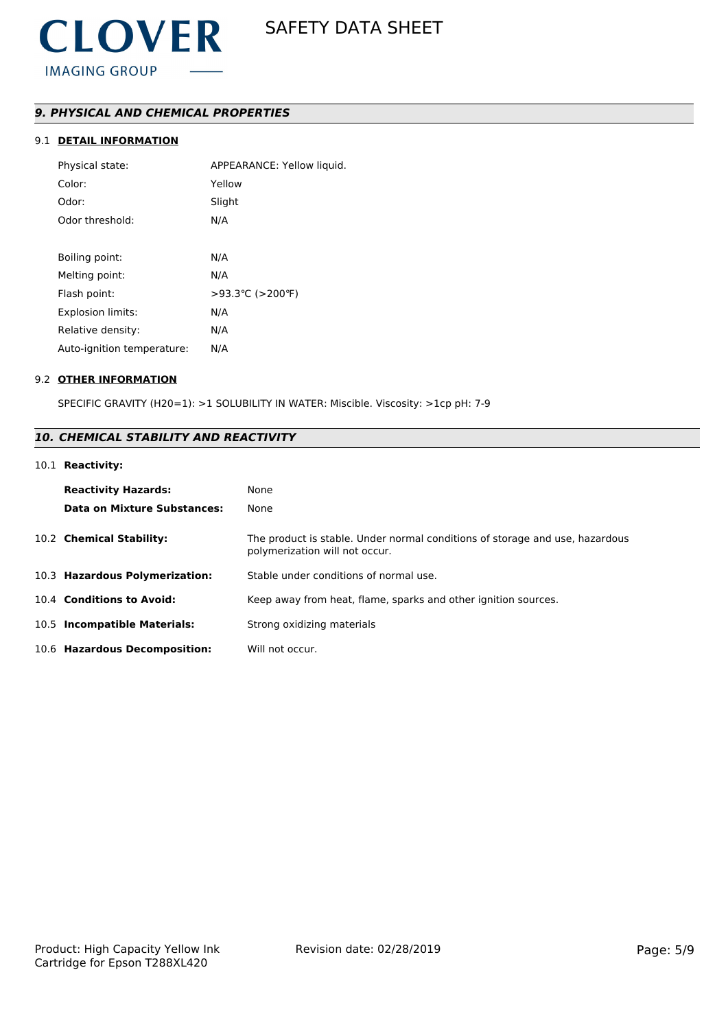# *9. PHYSICAL AND CHEMICAL PROPERTIES*

# 9.1 **DETAIL INFORMATION**

| Physical state:            | APPEARANCE: Yellow liquid. |
|----------------------------|----------------------------|
| Color:                     | Yellow                     |
| Odor:                      | Slight                     |
| Odor threshold:            | N/A                        |
|                            |                            |
| Boiling point:             | N/A                        |
| Melting point:             | N/A                        |
| Flash point:               | >93.3 °C (>200 °F)         |
| <b>Explosion limits:</b>   | N/A                        |
| Relative density:          | N/A                        |
| Auto-ignition temperature: | N/A                        |
|                            |                            |

### 9.2 **OTHER INFORMATION**

SPECIFIC GRAVITY (H20=1): >1 SOLUBILITY IN WATER: Miscible. Viscosity: >1cp pH: 7-9

# *10. CHEMICAL STABILITY AND REACTIVITY*

# 10.1 **Reactivity:**

| <b>Reactivity Hazards:</b>     | None                                                                                                           |
|--------------------------------|----------------------------------------------------------------------------------------------------------------|
| Data on Mixture Substances:    | None                                                                                                           |
| 10.2 Chemical Stability:       | The product is stable. Under normal conditions of storage and use, hazardous<br>polymerization will not occur. |
| 10.3 Hazardous Polymerization: | Stable under conditions of normal use.                                                                         |
| 10.4 Conditions to Avoid:      | Keep away from heat, flame, sparks and other ignition sources.                                                 |
| 10.5 Incompatible Materials:   | Strong oxidizing materials                                                                                     |
| 10.6 Hazardous Decomposition:  | Will not occur.                                                                                                |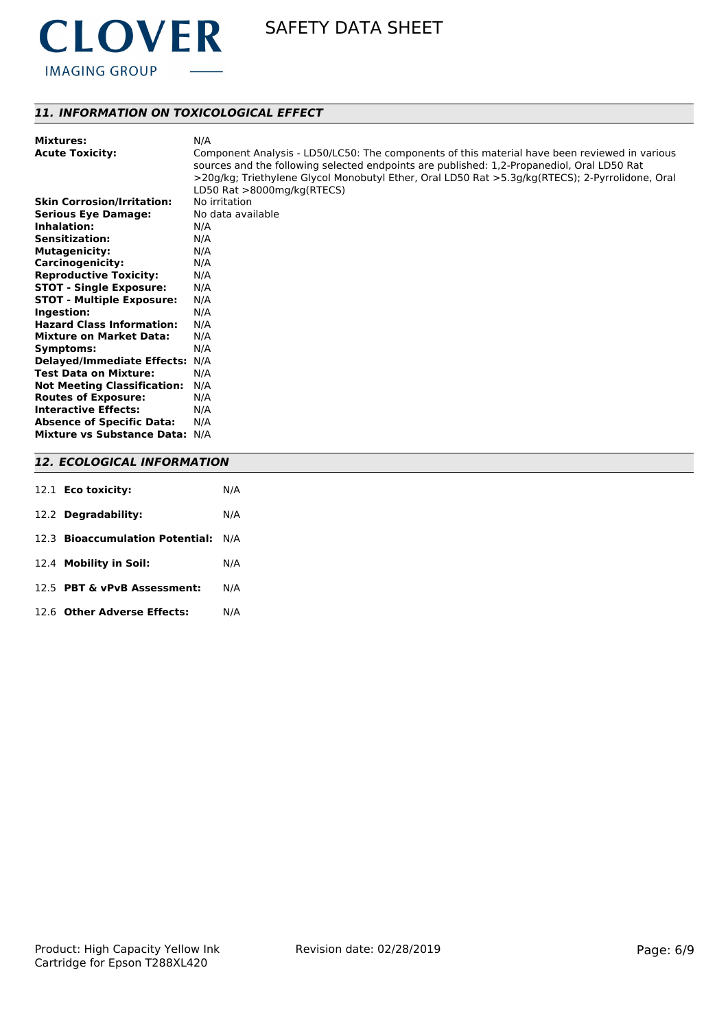

# *11. INFORMATION ON TOXICOLOGICAL EFFECT*

| <b>Skin Corrosion/Irritation:</b><br>No irritation |  |
|----------------------------------------------------|--|
| <b>Serious Eye Damage:</b><br>No data available    |  |
| Inhalation:<br>N/A                                 |  |
| <b>Sensitization:</b><br>N/A                       |  |
| <b>Mutagenicity:</b><br>N/A                        |  |
| <b>Carcinogenicity:</b><br>N/A                     |  |
| <b>Reproductive Toxicity:</b><br>N/A               |  |
| <b>STOT - Single Exposure:</b><br>N/A              |  |
| <b>STOT - Multiple Exposure:</b><br>N/A            |  |
| Ingestion:<br>N/A                                  |  |
| <b>Hazard Class Information:</b><br>N/A            |  |
| <b>Mixture on Market Data:</b><br>N/A              |  |
| N/A<br>Symptoms:                                   |  |
| <b>Delayed/Immediate Effects:</b><br>N/A           |  |
| <b>Test Data on Mixture:</b><br>N/A                |  |
| <b>Not Meeting Classification:</b><br>N/A          |  |
| <b>Routes of Exposure:</b><br>N/A                  |  |
| <b>Interactive Effects:</b><br>N/A                 |  |
| <b>Absence of Specific Data:</b><br>N/A            |  |
| Mixture vs Substance Data: N/A                     |  |

# *12. ECOLOGICAL INFORMATION*

| 12.1 <b>Eco toxicity:</b>           | N/A |
|-------------------------------------|-----|
| 12.2 Degradability:                 | N/A |
| 12.3 Bioaccumulation Potential: N/A |     |
| 12.4 Mobility in Soil:              | N/A |
| 12.5 PBT & vPvB Assessment:         | N/A |
| 12.6 Other Adverse Effects:         | N/A |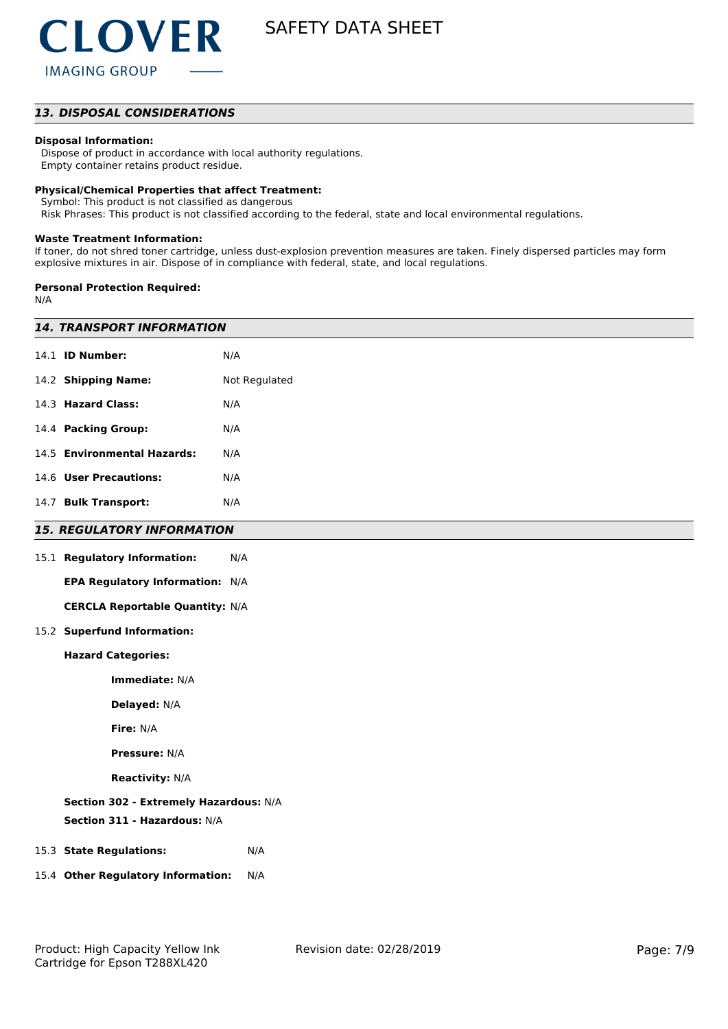# *13. DISPOSAL CONSIDERATIONS*

#### **Disposal Information:**

 Dispose of product in accordance with local authority regulations. Empty container retains product residue.

#### **Physical/Chemical Properties that affect Treatment:**

Symbol: This product is not classified as dangerous

Risk Phrases: This product is not classified according to the federal, state and local environmental regulations.

#### **Waste Treatment Information:**

If toner, do not shred toner cartridge, unless dust-explosion prevention measures are taken. Finely dispersed particles may form explosive mixtures in air. Dispose of in compliance with federal, state, and local regulations.

#### **Personal Protection Required:**

N/A

| <b>14. TRANSPORT INFORMATION</b>          |     |  |  |  |
|-------------------------------------------|-----|--|--|--|
| 14.1 <b>ID Number:</b>                    | N/A |  |  |  |
| 14.2 Shipping Name:<br>Not Regulated      |     |  |  |  |
| 14.3 Hazard Class:                        | N/A |  |  |  |
| 14.4 Packing Group:                       | N/A |  |  |  |
| 14.5 Environmental Hazards:               | N/A |  |  |  |
| 14.6 User Precautions:                    | N/A |  |  |  |
| 14.7 Bulk Transport:                      | N/A |  |  |  |
| <b>15. REGULATORY INFORMATION</b>         |     |  |  |  |
| 15.1 Regulatory Information:              | N/A |  |  |  |
| EPA Regulatory Information: N/A           |     |  |  |  |
| <b>CERCLA Reportable Quantity: N/A</b>    |     |  |  |  |
| 15.2 Superfund Information:               |     |  |  |  |
| <b>Hazard Categories:</b>                 |     |  |  |  |
| Immediate: N/A                            |     |  |  |  |
| Delayed: N/A                              |     |  |  |  |
| Fire: N/A                                 |     |  |  |  |
| <b>Pressure: N/A</b>                      |     |  |  |  |
| <b>Reactivity: N/A</b>                    |     |  |  |  |
| Section 302 - Extremely Hazardous: N/A    |     |  |  |  |
| Section 311 - Hazardous: N/A              |     |  |  |  |
| 15.3 State Regulations:                   | N/A |  |  |  |
| 15.4 Other Regulatory Information:<br>N/A |     |  |  |  |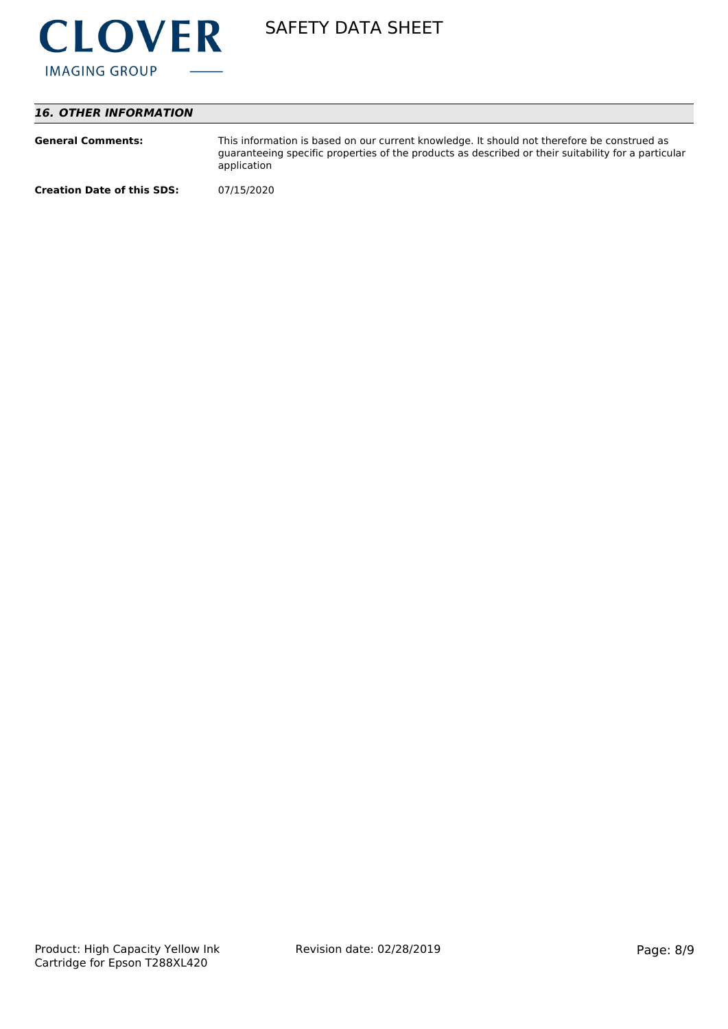

# *16. OTHER INFORMATION*

| <b>General Comments:</b>          | This information is based on our current knowledge. It should not therefore be construed as<br>guaranteeing specific properties of the products as described or their suitability for a particular<br>application |
|-----------------------------------|-------------------------------------------------------------------------------------------------------------------------------------------------------------------------------------------------------------------|
| <b>Creation Date of this SDS:</b> | 07/15/2020                                                                                                                                                                                                        |